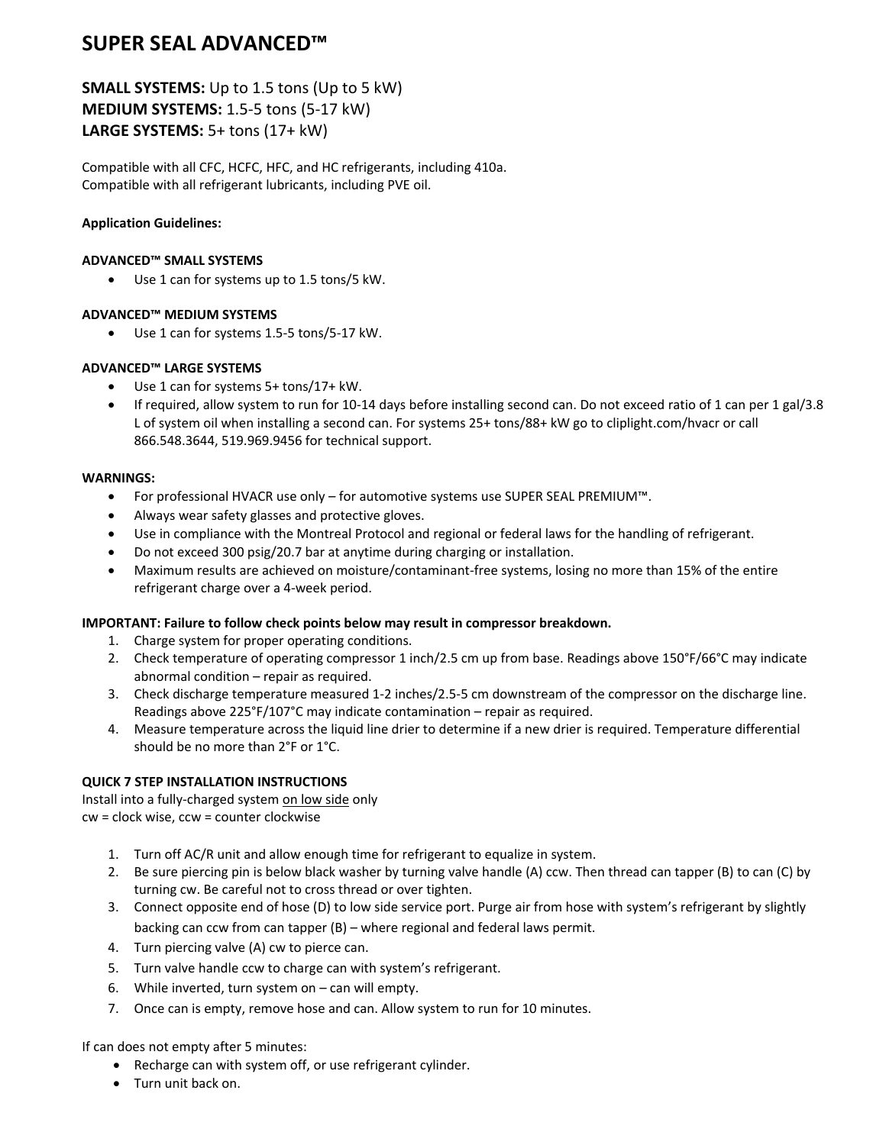# **SUPER SEAL ADVANCED™**

**SMALL SYSTEMS:** Up to 1.5 tons (Up to 5 kW) **MEDIUM SYSTEMS:** 1.5‐5 tons (5‐17 kW) **LARGE SYSTEMS:** 5+ tons (17+ kW)

Compatible with all CFC, HCFC, HFC, and HC refrigerants, including 410a. Compatible with all refrigerant lubricants, including PVE oil.

### **Application Guidelines:**

#### **ADVANCED™ SMALL SYSTEMS**

• Use 1 can for systems up to 1.5 tons/5 kW.

## **ADVANCED™ MEDIUM SYSTEMS**

• Use 1 can for systems 1.5‐5 tons/5‐17 kW.

#### **ADVANCED™ LARGE SYSTEMS**

- Use 1 can for systems 5+ tons/17+ kW.
- If required, allow system to run for 10‐14 days before installing second can. Do not exceed ratio of 1 can per 1 gal/3.8 L of system oil when installing a second can. For systems 25+ tons/88+ kW go to cliplight.com/hvacr or call 866.548.3644, 519.969.9456 for technical support.

#### **WARNINGS:**

- For professional HVACR use only for automotive systems use SUPER SEAL PREMIUM™.
- Always wear safety glasses and protective gloves.
- Use in compliance with the Montreal Protocol and regional or federal laws for the handling of refrigerant.
- Do not exceed 300 psig/20.7 bar at anytime during charging or installation.
- Maximum results are achieved on moisture/contaminant-free systems, losing no more than 15% of the entire refrigerant charge over a 4‐week period.

## **IMPORTANT: Failure to follow check points below may result in compressor breakdown.**

- 1. Charge system for proper operating conditions.
- 2. Check temperature of operating compressor 1 inch/2.5 cm up from base. Readings above 150°F/66°C may indicate abnormal condition – repair as required.
- 3. Check discharge temperature measured 1‐2 inches/2.5‐5 cm downstream of the compressor on the discharge line. Readings above 225°F/107°C may indicate contamination – repair as required.
- 4. Measure temperature across the liquid line drier to determine if a new drier is required. Temperature differential should be no more than 2°F or 1°C.

## **QUICK 7 STEP INSTALLATION INSTRUCTIONS**

Install into a fully‐charged system on low side only cw = clock wise, ccw = counter clockwise

- 1. Turn off AC/R unit and allow enough time for refrigerant to equalize in system.
- 2. Be sure piercing pin is below black washer by turning valve handle (A) ccw. Then thread can tapper (B) to can (C) by turning cw. Be careful not to cross thread or over tighten.
- 3. Connect opposite end of hose (D) to low side service port. Purge air from hose with system's refrigerant by slightly backing can ccw from can tapper (B) – where regional and federal laws permit.
- 4. Turn piercing valve (A) cw to pierce can.
- 5. Turn valve handle ccw to charge can with system's refrigerant.
- 6. While inverted, turn system on can will empty.
- 7. Once can is empty, remove hose and can. Allow system to run for 10 minutes.

If can does not empty after 5 minutes:

- Recharge can with system off, or use refrigerant cylinder.
- Turn unit back on.